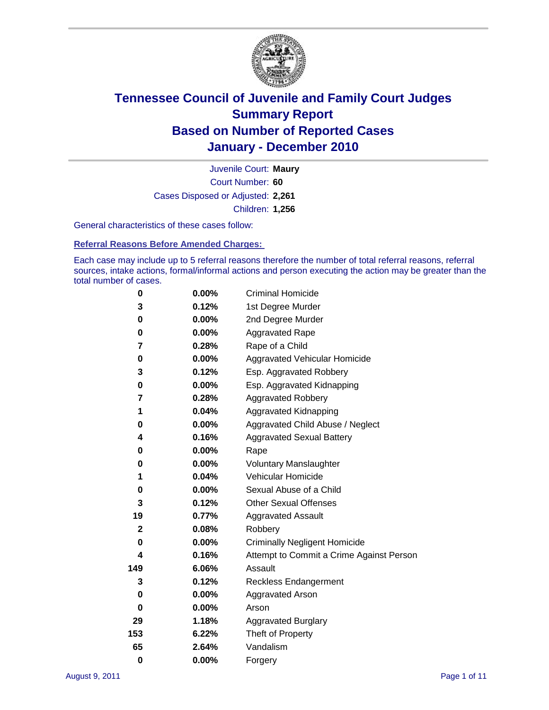

Court Number: **60** Juvenile Court: **Maury** Cases Disposed or Adjusted: **2,261** Children: **1,256**

General characteristics of these cases follow:

**Referral Reasons Before Amended Charges:** 

Each case may include up to 5 referral reasons therefore the number of total referral reasons, referral sources, intake actions, formal/informal actions and person executing the action may be greater than the total number of cases.

| 0            | $0.00\%$ | <b>Criminal Homicide</b>                 |
|--------------|----------|------------------------------------------|
| 3            | 0.12%    | 1st Degree Murder                        |
| 0            | $0.00\%$ | 2nd Degree Murder                        |
| 0            | $0.00\%$ | <b>Aggravated Rape</b>                   |
| 7            | 0.28%    | Rape of a Child                          |
| 0            | 0.00%    | Aggravated Vehicular Homicide            |
| 3            | 0.12%    | Esp. Aggravated Robbery                  |
| 0            | $0.00\%$ | Esp. Aggravated Kidnapping               |
| 7            | 0.28%    | <b>Aggravated Robbery</b>                |
| 1            | 0.04%    | Aggravated Kidnapping                    |
| 0            | 0.00%    | Aggravated Child Abuse / Neglect         |
| 4            | 0.16%    | <b>Aggravated Sexual Battery</b>         |
| 0            | 0.00%    | Rape                                     |
| 0            | $0.00\%$ | <b>Voluntary Manslaughter</b>            |
| 1            | 0.04%    | Vehicular Homicide                       |
| 0            | 0.00%    | Sexual Abuse of a Child                  |
| 3            | 0.12%    | <b>Other Sexual Offenses</b>             |
| 19           | 0.77%    | <b>Aggravated Assault</b>                |
| $\mathbf{2}$ | 0.08%    | Robbery                                  |
| 0            | 0.00%    | <b>Criminally Negligent Homicide</b>     |
| 4            | 0.16%    | Attempt to Commit a Crime Against Person |
| 149          | 6.06%    | Assault                                  |
| 3            | 0.12%    | <b>Reckless Endangerment</b>             |
| 0            | 0.00%    | <b>Aggravated Arson</b>                  |
| 0            | 0.00%    | Arson                                    |
| 29           | 1.18%    | <b>Aggravated Burglary</b>               |
| 153          | 6.22%    | Theft of Property                        |
| 65           | 2.64%    | Vandalism                                |
| $\bf{0}$     | 0.00%    | Forgery                                  |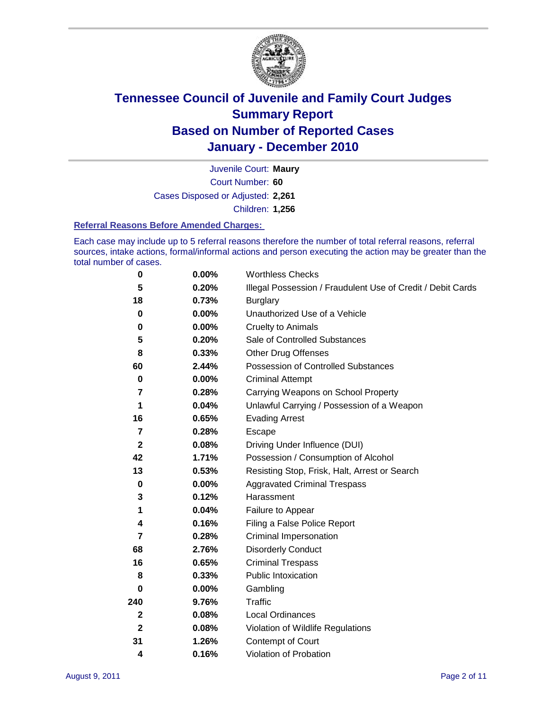

Court Number: **60** Juvenile Court: **Maury** Cases Disposed or Adjusted: **2,261** Children: **1,256**

#### **Referral Reasons Before Amended Charges:**

Each case may include up to 5 referral reasons therefore the number of total referral reasons, referral sources, intake actions, formal/informal actions and person executing the action may be greater than the total number of cases.

| $\pmb{0}$      | 0.00%    | <b>Worthless Checks</b>                                     |
|----------------|----------|-------------------------------------------------------------|
| 5              | 0.20%    | Illegal Possession / Fraudulent Use of Credit / Debit Cards |
| 18             | 0.73%    | <b>Burglary</b>                                             |
| $\mathbf 0$    | $0.00\%$ | Unauthorized Use of a Vehicle                               |
| 0              | $0.00\%$ | <b>Cruelty to Animals</b>                                   |
| 5              | 0.20%    | Sale of Controlled Substances                               |
| 8              | 0.33%    | <b>Other Drug Offenses</b>                                  |
| 60             | 2.44%    | Possession of Controlled Substances                         |
| $\mathbf 0$    | $0.00\%$ | <b>Criminal Attempt</b>                                     |
| 7              | 0.28%    | Carrying Weapons on School Property                         |
| 1              | 0.04%    | Unlawful Carrying / Possession of a Weapon                  |
| 16             | 0.65%    | <b>Evading Arrest</b>                                       |
| $\overline{7}$ | 0.28%    | Escape                                                      |
| $\mathbf 2$    | 0.08%    | Driving Under Influence (DUI)                               |
| 42             | 1.71%    | Possession / Consumption of Alcohol                         |
| 13             | 0.53%    | Resisting Stop, Frisk, Halt, Arrest or Search               |
| $\mathbf 0$    | $0.00\%$ | <b>Aggravated Criminal Trespass</b>                         |
| 3              | 0.12%    | Harassment                                                  |
| 1              | 0.04%    | Failure to Appear                                           |
| 4              | 0.16%    | Filing a False Police Report                                |
| $\overline{7}$ | 0.28%    | Criminal Impersonation                                      |
| 68             | 2.76%    | <b>Disorderly Conduct</b>                                   |
| 16             | 0.65%    | <b>Criminal Trespass</b>                                    |
| 8              | 0.33%    | Public Intoxication                                         |
| 0              | $0.00\%$ | Gambling                                                    |
| 240            | 9.76%    | <b>Traffic</b>                                              |
| 2              | 0.08%    | Local Ordinances                                            |
| $\mathbf{2}$   | 0.08%    | Violation of Wildlife Regulations                           |
| 31             | 1.26%    | Contempt of Court                                           |
| 4              | 0.16%    | Violation of Probation                                      |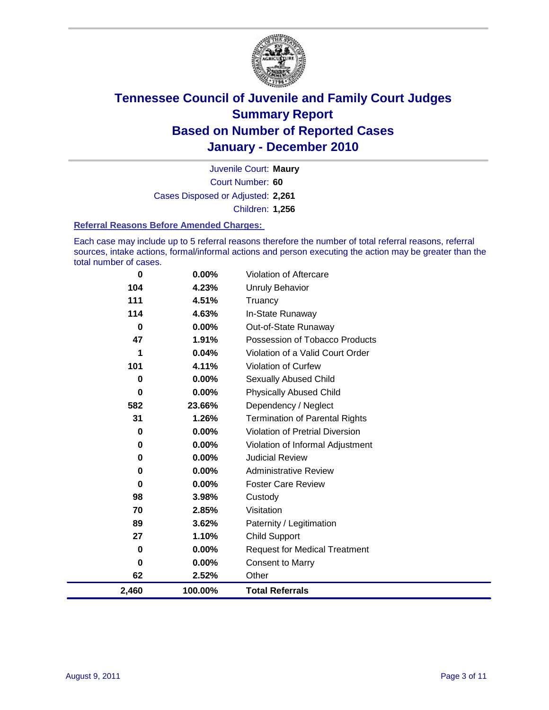

Court Number: **60** Juvenile Court: **Maury** Cases Disposed or Adjusted: **2,261** Children: **1,256**

#### **Referral Reasons Before Amended Charges:**

Each case may include up to 5 referral reasons therefore the number of total referral reasons, referral sources, intake actions, formal/informal actions and person executing the action may be greater than the total number of cases.

| 0        | 0.00%    | Violation of Aftercare                 |
|----------|----------|----------------------------------------|
| 104      | 4.23%    | <b>Unruly Behavior</b>                 |
| 111      | 4.51%    | Truancy                                |
| 114      | 4.63%    | In-State Runaway                       |
| 0        | $0.00\%$ | Out-of-State Runaway                   |
| 47       | 1.91%    | Possession of Tobacco Products         |
|          | 0.04%    | Violation of a Valid Court Order       |
| 101      | 4.11%    | Violation of Curfew                    |
| 0        | $0.00\%$ | Sexually Abused Child                  |
| $\bf{0}$ | 0.00%    | <b>Physically Abused Child</b>         |
| 582      | 23.66%   | Dependency / Neglect                   |
| 31       | 1.26%    | <b>Termination of Parental Rights</b>  |
| 0        | 0.00%    | <b>Violation of Pretrial Diversion</b> |
| 0        | 0.00%    | Violation of Informal Adjustment       |
| 0        | $0.00\%$ | <b>Judicial Review</b>                 |
| 0        | $0.00\%$ | <b>Administrative Review</b>           |
| 0        | 0.00%    | <b>Foster Care Review</b>              |
| 98       | 3.98%    | Custody                                |
| 70       | 2.85%    | Visitation                             |
| 89       | 3.62%    | Paternity / Legitimation               |
| 27       | 1.10%    | <b>Child Support</b>                   |
| 0        | 0.00%    | <b>Request for Medical Treatment</b>   |
| 0        | 0.00%    | <b>Consent to Marry</b>                |
| 62       | 2.52%    | Other                                  |
| 2,460    | 100.00%  | <b>Total Referrals</b>                 |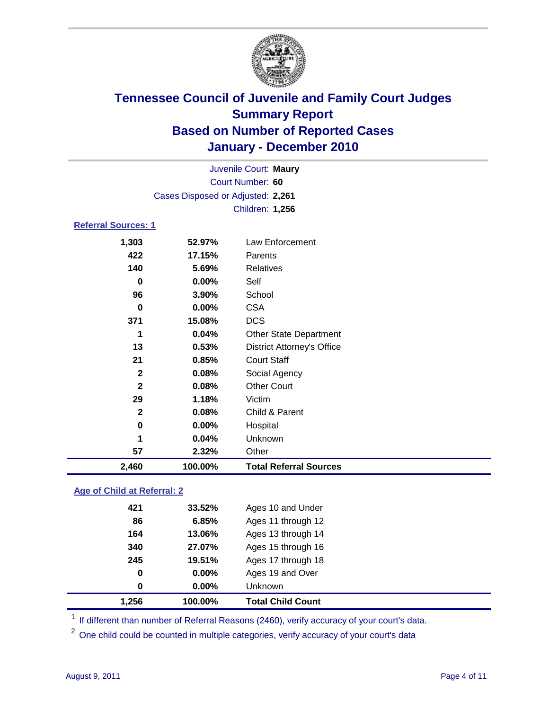

|                            |                                   | Juvenile Court: Maury             |
|----------------------------|-----------------------------------|-----------------------------------|
|                            |                                   | Court Number: 60                  |
|                            | Cases Disposed or Adjusted: 2,261 |                                   |
|                            |                                   | Children: 1,256                   |
| <b>Referral Sources: 1</b> |                                   |                                   |
| 1,303                      | 52.97%                            | Law Enforcement                   |
| 422                        | 17.15%                            | Parents                           |
| 140                        | 5.69%                             | <b>Relatives</b>                  |
| 0                          | 0.00%                             | Self                              |
| 96                         | 3.90%                             | School                            |
| $\bf{0}$                   | $0.00\%$                          | <b>CSA</b>                        |
| 371                        | 15.08%                            | <b>DCS</b>                        |
| 1                          | 0.04%                             | Other State Department            |
| 13                         | 0.53%                             | <b>District Attorney's Office</b> |
| 21                         | 0.85%                             | <b>Court Staff</b>                |
| $\mathbf{2}$               | 0.08%                             | Social Agency                     |
| $\mathbf{2}$               | 0.08%                             | <b>Other Court</b>                |
| 29                         | 1.18%                             | Victim                            |
| $\mathbf{2}$               | 0.08%                             | Child & Parent                    |
| 0                          | 0.00%                             | Hospital                          |
| 1                          | 0.04%                             | Unknown                           |
| 57                         | 2.32%                             | Other                             |
| 2,460                      | 100.00%                           | <b>Total Referral Sources</b>     |
|                            |                                   |                                   |

### **Age of Child at Referral: 2**

| 1.256 | 100.00%  | <b>Total Child Count</b> |
|-------|----------|--------------------------|
| 0     | $0.00\%$ | <b>Unknown</b>           |
| 0     | 0.00%    | Ages 19 and Over         |
| 245   | 19.51%   | Ages 17 through 18       |
| 340   | 27.07%   | Ages 15 through 16       |
| 164   | 13.06%   | Ages 13 through 14       |
| 86    | 6.85%    | Ages 11 through 12       |
| 421   | 33.52%   | Ages 10 and Under        |
|       |          |                          |

<sup>1</sup> If different than number of Referral Reasons (2460), verify accuracy of your court's data.

<sup>2</sup> One child could be counted in multiple categories, verify accuracy of your court's data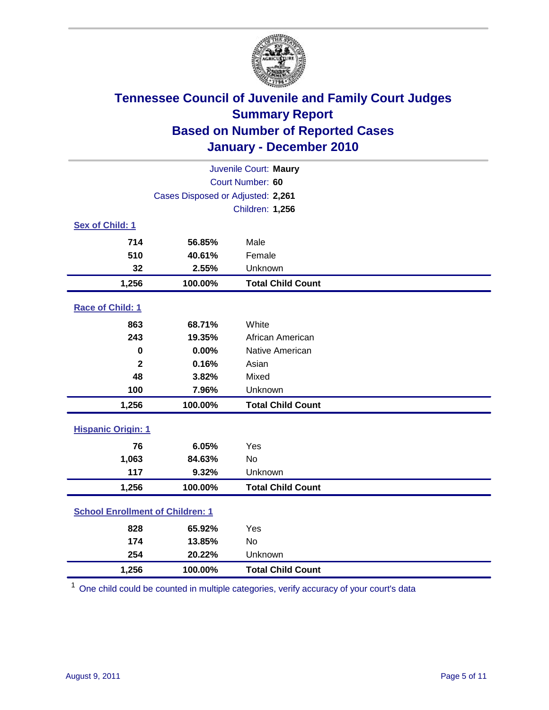

| Juvenile Court: Maury                   |                                   |                          |  |  |
|-----------------------------------------|-----------------------------------|--------------------------|--|--|
| Court Number: 60                        |                                   |                          |  |  |
|                                         | Cases Disposed or Adjusted: 2,261 |                          |  |  |
| Children: 1,256                         |                                   |                          |  |  |
| Sex of Child: 1                         |                                   |                          |  |  |
| 714                                     | 56.85%                            | Male                     |  |  |
| 510                                     | 40.61%                            | Female                   |  |  |
| 32                                      | 2.55%                             | Unknown                  |  |  |
| 1,256                                   | 100.00%                           | <b>Total Child Count</b> |  |  |
| Race of Child: 1                        |                                   |                          |  |  |
| 863                                     | 68.71%                            | White                    |  |  |
| 243                                     | 19.35%                            | African American         |  |  |
| 0                                       | 0.00%                             | Native American          |  |  |
| $\overline{\mathbf{2}}$                 | 0.16%                             | Asian                    |  |  |
| 48                                      | 3.82%                             | Mixed                    |  |  |
| 100                                     | 7.96%                             | Unknown                  |  |  |
| 1,256                                   | 100.00%                           | <b>Total Child Count</b> |  |  |
| <b>Hispanic Origin: 1</b>               |                                   |                          |  |  |
| 76                                      | 6.05%                             | Yes                      |  |  |
| 1,063                                   | 84.63%                            | <b>No</b>                |  |  |
| 117                                     | 9.32%                             | Unknown                  |  |  |
| 1,256                                   | 100.00%                           | <b>Total Child Count</b> |  |  |
| <b>School Enrollment of Children: 1</b> |                                   |                          |  |  |
| 828                                     | 65.92%                            | Yes                      |  |  |
| 174                                     | 13.85%                            | No                       |  |  |
| 254                                     | 20.22%                            | Unknown                  |  |  |
| 1,256                                   | 100.00%                           | <b>Total Child Count</b> |  |  |

<sup>1</sup> One child could be counted in multiple categories, verify accuracy of your court's data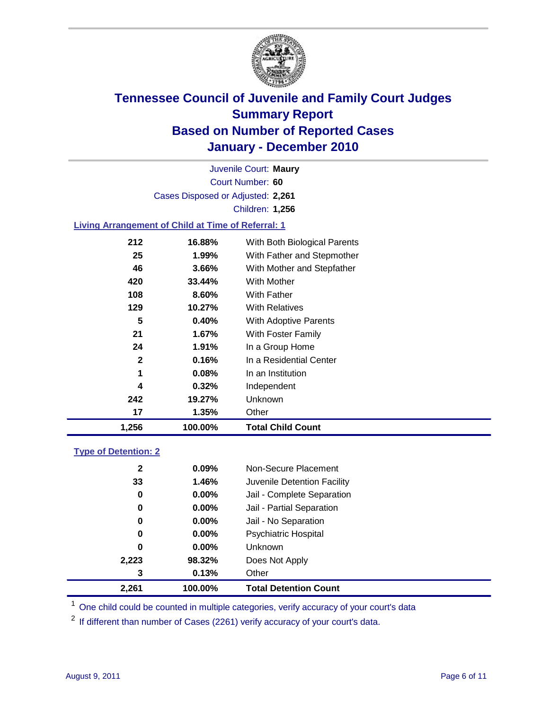

Court Number: **60** Juvenile Court: **Maury** Cases Disposed or Adjusted: **2,261** Children: **1,256**

### **Living Arrangement of Child at Time of Referral: 1**

| 5<br>0.40%<br>21<br>1.67%<br>24<br>1.91%<br>$\mathbf{2}$<br>0.16%<br>1<br>0.08%<br>4<br>0.32%<br>242<br>19.27%<br>17<br>1.35% | <b>With Adoptive Parents</b><br>With Foster Family<br>In a Group Home<br>In a Residential Center<br>In an Institution<br>Independent<br>Unknown<br>Other |
|-------------------------------------------------------------------------------------------------------------------------------|----------------------------------------------------------------------------------------------------------------------------------------------------------|
|                                                                                                                               |                                                                                                                                                          |
|                                                                                                                               |                                                                                                                                                          |
|                                                                                                                               |                                                                                                                                                          |
|                                                                                                                               |                                                                                                                                                          |
|                                                                                                                               |                                                                                                                                                          |
|                                                                                                                               |                                                                                                                                                          |
|                                                                                                                               |                                                                                                                                                          |
|                                                                                                                               |                                                                                                                                                          |
| 129<br>10.27%                                                                                                                 | <b>With Relatives</b>                                                                                                                                    |
| 8.60%<br>108                                                                                                                  | With Father                                                                                                                                              |
| 33.44%                                                                                                                        | With Mother                                                                                                                                              |
| 3.66%                                                                                                                         | With Mother and Stepfather                                                                                                                               |
| 1.99%                                                                                                                         | With Father and Stepmother                                                                                                                               |
| 16.88%                                                                                                                        | With Both Biological Parents                                                                                                                             |
|                                                                                                                               | 212<br>25<br>46<br>420                                                                                                                                   |

#### **Type of Detention: 2**

| 2,261        | 100.00%  | <b>Total Detention Count</b> |  |
|--------------|----------|------------------------------|--|
| 3            | 0.13%    | Other                        |  |
| 2,223        | 98.32%   | Does Not Apply               |  |
| 0            | $0.00\%$ | Unknown                      |  |
| 0            | $0.00\%$ | <b>Psychiatric Hospital</b>  |  |
| 0            | 0.00%    | Jail - No Separation         |  |
| 0            | $0.00\%$ | Jail - Partial Separation    |  |
| 0            | 0.00%    | Jail - Complete Separation   |  |
| 33           | 1.46%    | Juvenile Detention Facility  |  |
| $\mathbf{2}$ | $0.09\%$ | Non-Secure Placement         |  |
|              |          |                              |  |

<sup>1</sup> One child could be counted in multiple categories, verify accuracy of your court's data

<sup>2</sup> If different than number of Cases (2261) verify accuracy of your court's data.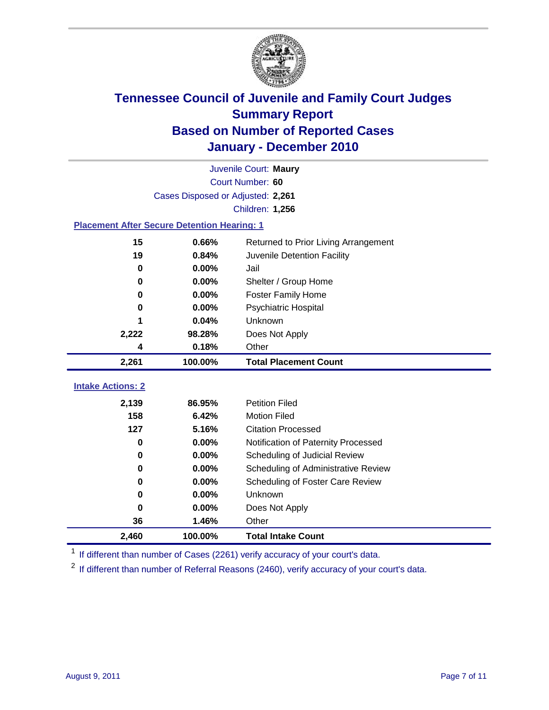

|                                                    | Juvenile Court: Maury             |                                             |  |  |  |
|----------------------------------------------------|-----------------------------------|---------------------------------------------|--|--|--|
|                                                    | Court Number: 60                  |                                             |  |  |  |
|                                                    | Cases Disposed or Adjusted: 2,261 |                                             |  |  |  |
|                                                    | Children: 1,256                   |                                             |  |  |  |
| <b>Placement After Secure Detention Hearing: 1</b> |                                   |                                             |  |  |  |
| 15                                                 | 0.66%                             | Returned to Prior Living Arrangement        |  |  |  |
| 19                                                 | 0.84%                             | Juvenile Detention Facility                 |  |  |  |
| $\bf{0}$                                           | 0.00%                             | Jail                                        |  |  |  |
| 0                                                  | 0.00%                             | Shelter / Group Home                        |  |  |  |
| 0                                                  | 0.00%                             | <b>Foster Family Home</b>                   |  |  |  |
| 0                                                  | 0.00%                             | Psychiatric Hospital                        |  |  |  |
|                                                    | 0.04%                             | Unknown                                     |  |  |  |
| 2,222                                              | 98.28%                            | Does Not Apply                              |  |  |  |
| 4                                                  | 0.18%                             | Other                                       |  |  |  |
| 2,261                                              | 100.00%                           | <b>Total Placement Count</b>                |  |  |  |
| <b>Intake Actions: 2</b>                           |                                   |                                             |  |  |  |
|                                                    | 86.95%                            | <b>Petition Filed</b>                       |  |  |  |
| 2,139<br>158                                       | 6.42%                             | <b>Motion Filed</b>                         |  |  |  |
| 127                                                | 5.16%                             | <b>Citation Processed</b>                   |  |  |  |
| $\bf{0}$                                           | 0.00%                             |                                             |  |  |  |
| 0                                                  | 0.00%                             | Notification of Paternity Processed         |  |  |  |
| 0                                                  | 0.00%                             | Scheduling of Judicial Review               |  |  |  |
|                                                    | 0.00%                             | Scheduling of Administrative Review         |  |  |  |
| 0                                                  | 0.00%                             | Scheduling of Foster Care Review<br>Unknown |  |  |  |
| 0                                                  |                                   |                                             |  |  |  |
| 0                                                  | 0.00%                             | Does Not Apply                              |  |  |  |
| 36                                                 | 1.46%                             | Other                                       |  |  |  |
| 2,460                                              | 100.00%                           | <b>Total Intake Count</b>                   |  |  |  |

<sup>1</sup> If different than number of Cases (2261) verify accuracy of your court's data.

<sup>2</sup> If different than number of Referral Reasons (2460), verify accuracy of your court's data.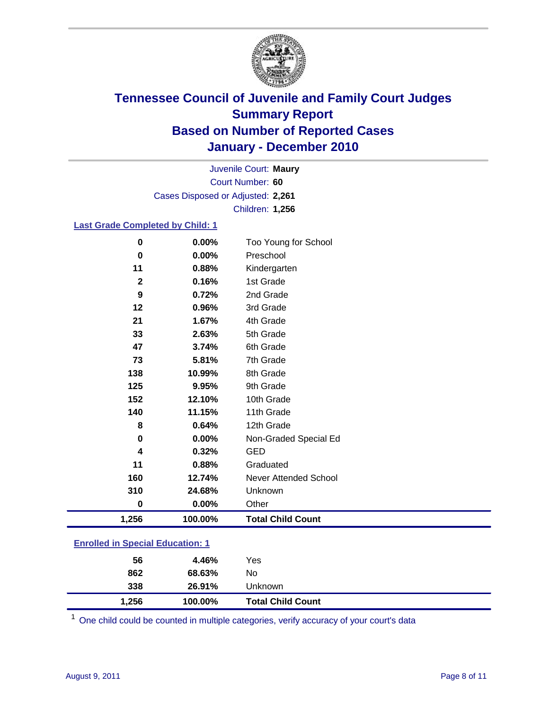

Court Number: **60** Juvenile Court: **Maury** Cases Disposed or Adjusted: **2,261** Children: **1,256**

### **Last Grade Completed by Child: 1**

| 1,256        | 100.00% | <b>Total Child Count</b> |  |
|--------------|---------|--------------------------|--|
| $\bf{0}$     | 0.00%   | Other                    |  |
| 310          | 24.68%  | Unknown                  |  |
| 160          | 12.74%  | Never Attended School    |  |
| 11           | 0.88%   | Graduated                |  |
| 4            | 0.32%   | <b>GED</b>               |  |
| 0            | 0.00%   | Non-Graded Special Ed    |  |
| 8            | 0.64%   | 12th Grade               |  |
| 140          | 11.15%  | 11th Grade               |  |
| 152          | 12.10%  | 10th Grade               |  |
| 125          | 9.95%   | 9th Grade                |  |
| 138          | 10.99%  | 8th Grade                |  |
| 73           | 5.81%   | 7th Grade                |  |
| 47           | 3.74%   | 6th Grade                |  |
| 33           | 2.63%   | 5th Grade                |  |
| 21           | 1.67%   | 4th Grade                |  |
| 12           | 0.96%   | 3rd Grade                |  |
| 9            | 0.72%   | 2nd Grade                |  |
| $\mathbf{2}$ | 0.16%   | 1st Grade                |  |
| 11           | 0.88%   | Kindergarten             |  |
| 0            | 0.00%   | Preschool                |  |
| $\bf{0}$     | 0.00%   | Too Young for School     |  |

### **Enrolled in Special Education: 1**

| 56    | 4.46%   | Yes                      |
|-------|---------|--------------------------|
| 862   | 68.63%  | No                       |
| 338   | 26.91%  | Unknown                  |
| 1,256 | 100.00% | <b>Total Child Count</b> |

One child could be counted in multiple categories, verify accuracy of your court's data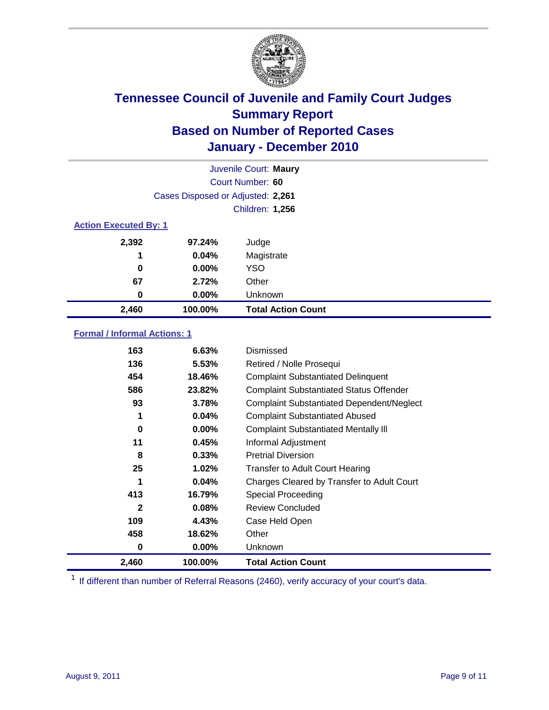

|                              | Juvenile Court: Maury             |                           |  |  |  |
|------------------------------|-----------------------------------|---------------------------|--|--|--|
|                              | Court Number: 60                  |                           |  |  |  |
|                              | Cases Disposed or Adjusted: 2,261 |                           |  |  |  |
|                              |                                   | Children: 1,256           |  |  |  |
| <b>Action Executed By: 1</b> |                                   |                           |  |  |  |
| 2,392                        | 97.24%                            | Judge                     |  |  |  |
| 1                            | 0.04%                             | Magistrate                |  |  |  |
| 0                            | 0.00%                             | <b>YSO</b>                |  |  |  |
| 67                           | 2.72%                             | Other                     |  |  |  |
| 0                            | 0.00%                             | Unknown                   |  |  |  |
| 2,460                        | 100.00%                           | <b>Total Action Count</b> |  |  |  |

### **Formal / Informal Actions: 1**

| 163          | 6.63%    | Dismissed                                        |
|--------------|----------|--------------------------------------------------|
| 136          | 5.53%    | Retired / Nolle Prosequi                         |
| 454          | 18.46%   | <b>Complaint Substantiated Delinquent</b>        |
| 586          | 23.82%   | <b>Complaint Substantiated Status Offender</b>   |
| 93           | 3.78%    | <b>Complaint Substantiated Dependent/Neglect</b> |
| 1            | 0.04%    | <b>Complaint Substantiated Abused</b>            |
| 0            | $0.00\%$ | <b>Complaint Substantiated Mentally III</b>      |
| 11           | 0.45%    | Informal Adjustment                              |
| 8            | 0.33%    | <b>Pretrial Diversion</b>                        |
| 25           | 1.02%    | <b>Transfer to Adult Court Hearing</b>           |
| 1            | 0.04%    | Charges Cleared by Transfer to Adult Court       |
| 413          | 16.79%   | <b>Special Proceeding</b>                        |
| $\mathbf{2}$ | 0.08%    | <b>Review Concluded</b>                          |
| 109          | 4.43%    | Case Held Open                                   |
| 458          | 18.62%   | Other                                            |
| 0            | 0.00%    | <b>Unknown</b>                                   |
| 2,460        | 100.00%  | <b>Total Action Count</b>                        |

<sup>1</sup> If different than number of Referral Reasons (2460), verify accuracy of your court's data.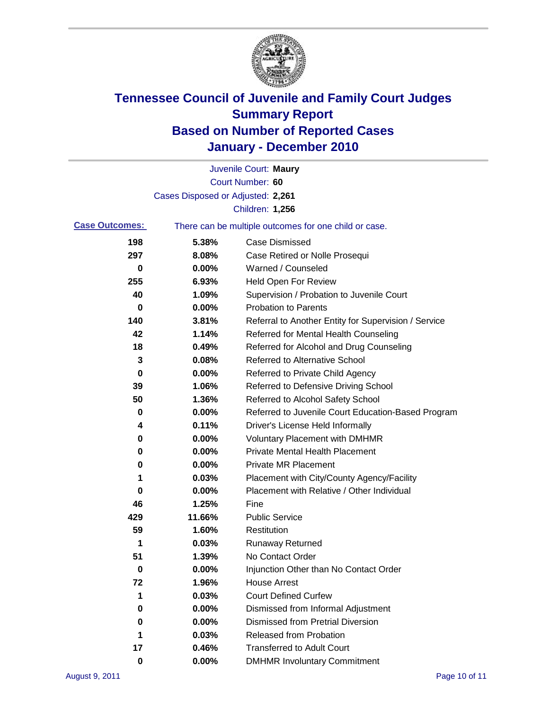

|                       |                                   | Juvenile Court: Maury                                 |
|-----------------------|-----------------------------------|-------------------------------------------------------|
|                       |                                   | Court Number: 60                                      |
|                       | Cases Disposed or Adjusted: 2,261 |                                                       |
|                       |                                   | Children: 1,256                                       |
| <b>Case Outcomes:</b> |                                   | There can be multiple outcomes for one child or case. |
| 198                   | 5.38%                             | <b>Case Dismissed</b>                                 |
| 297                   | 8.08%                             | Case Retired or Nolle Prosequi                        |
| 0                     | 0.00%                             | Warned / Counseled                                    |
| 255                   | 6.93%                             | <b>Held Open For Review</b>                           |
| 40                    | 1.09%                             | Supervision / Probation to Juvenile Court             |
| 0                     | 0.00%                             | <b>Probation to Parents</b>                           |
| 140                   | 3.81%                             | Referral to Another Entity for Supervision / Service  |
| 42                    | 1.14%                             | Referred for Mental Health Counseling                 |
| 18                    | 0.49%                             | Referred for Alcohol and Drug Counseling              |
| 3                     | 0.08%                             | <b>Referred to Alternative School</b>                 |
| 0                     | 0.00%                             | Referred to Private Child Agency                      |
| 39                    | 1.06%                             | Referred to Defensive Driving School                  |
| 50                    | 1.36%                             | Referred to Alcohol Safety School                     |
| 0                     | 0.00%                             | Referred to Juvenile Court Education-Based Program    |
| 4                     | 0.11%                             | Driver's License Held Informally                      |
| 0                     | 0.00%                             | <b>Voluntary Placement with DMHMR</b>                 |
| 0                     | 0.00%                             | <b>Private Mental Health Placement</b>                |
| 0                     | 0.00%                             | <b>Private MR Placement</b>                           |
| 1                     | 0.03%                             | Placement with City/County Agency/Facility            |
| 0                     | 0.00%                             | Placement with Relative / Other Individual            |
| 46                    | 1.25%                             | Fine                                                  |
| 429                   | 11.66%                            | <b>Public Service</b>                                 |
| 59                    | 1.60%                             | Restitution                                           |
| 1                     | 0.03%                             | <b>Runaway Returned</b>                               |
| 51                    | 1.39%                             | No Contact Order                                      |
| 0                     | $0.00\%$                          | Injunction Other than No Contact Order                |
| 72                    | 1.96%                             | <b>House Arrest</b>                                   |
| 1                     | 0.03%                             | <b>Court Defined Curfew</b>                           |
| 0                     | 0.00%                             | Dismissed from Informal Adjustment                    |
| 0                     | 0.00%                             | <b>Dismissed from Pretrial Diversion</b>              |
| 1                     | 0.03%                             | Released from Probation                               |
| 17                    | 0.46%                             | <b>Transferred to Adult Court</b>                     |
| 0                     | $0.00\%$                          | <b>DMHMR Involuntary Commitment</b>                   |